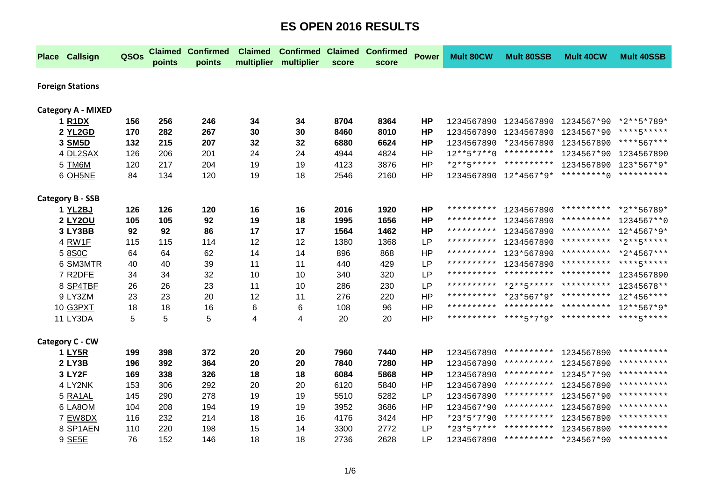|                         | <b>Place Callsign</b>           | QSOs | <b>Claimed</b><br>points | <b>Confirmed</b><br>points | <b>Claimed</b> | <b>Confirmed Claimed Confirmed</b><br>multiplier multiplier | score | score | <b>Power</b> | <b>Mult 80CW</b> | <b>Mult 80SSB</b>                            | <b>Mult 40CW</b>                 | <b>Mult 40SSB</b> |
|-------------------------|---------------------------------|------|--------------------------|----------------------------|----------------|-------------------------------------------------------------|-------|-------|--------------|------------------|----------------------------------------------|----------------------------------|-------------------|
| <b>Foreign Stations</b> |                                 |      |                          |                            |                |                                                             |       |       |              |                  |                                              |                                  |                   |
|                         |                                 |      |                          |                            |                |                                                             |       |       |              |                  |                                              |                                  |                   |
|                         | <b>Category A - MIXED</b>       |      |                          |                            |                |                                                             |       |       |              |                  |                                              |                                  |                   |
|                         | 1 R <sub>1</sub> D <sub>X</sub> | 156  | 256                      | 246                        | 34             | 34                                                          | 8704  | 8364  | <b>HP</b>    |                  | 1234567890 1234567890 1234567*90 *2**5*789*  |                                  |                   |
|                         | 2 YL2GD                         | 170  | 282                      | 267                        | 30             | 30                                                          | 8460  | 8010  | <b>HP</b>    |                  | 1234567890 1234567890 1234567*90             |                                  | ****5*****        |
|                         | 3 SM5D                          | 132  | 215                      | 207                        | 32             | 32                                                          | 6880  | 6624  | <b>HP</b>    |                  | 1234567890 *234567890 1234567890             |                                  | ****567***        |
|                         | 4 DL2SAX                        | 126  | 206                      | 201                        | 24             | 24                                                          | 4944  | 4824  | <b>HP</b>    |                  | 12**5*7**0 ********** 1234567*90 1234567890  |                                  |                   |
|                         | 5 TM6M                          | 120  | 217                      | 204                        | 19             | 19                                                          | 4123  | 3876  | <b>HP</b>    |                  | *2**5***** ********** 1234567890 123*567*9*  |                                  |                   |
|                         | 6 OH5NE                         | 84   | 134                      | 120                        | 19             | 18                                                          | 2546  | 2160  | HP           |                  | 1234567890 12*4567*9* *********0 *********** |                                  |                   |
|                         | <b>Category B - SSB</b>         |      |                          |                            |                |                                                             |       |       |              |                  |                                              |                                  |                   |
|                         | 1 YL2BJ                         | 126  | 126                      | 120                        | 16             | 16                                                          | 2016  | 1920  | <b>HP</b>    |                  | ********** 1234567890                        | ********** *2**56789*            |                   |
|                         | <b>2 LY2OU</b>                  | 105  | 105                      | 92                         | 19             | 18                                                          | 1995  | 1656  | <b>HP</b>    | **********       | 1234567890                                   | **********                       | 1234567**0        |
|                         | 3 LY3BB                         | 92   | 92                       | 86                         | 17             | 17                                                          | 1564  | 1462  | <b>HP</b>    | **********       | 1234567890                                   | **********                       | $12*4567*9*$      |
|                         | 4 RW1F                          | 115  | 115                      | 114                        | 12             | 12                                                          | 1380  | 1368  | LP           | **********       | 1234567890 ********** *2**5*****             |                                  |                   |
|                         | 5 8 S O C                       | 64   | 64                       | 62                         | 14             | 14                                                          | 896   | 868   | <b>HP</b>    | **********       |                                              | 123*567890 ********** *2*4567*** |                   |
|                         | 6 SM3MTR                        | 40   | 40                       | 39                         | 11             | 11                                                          | 440   | 429   | LP           |                  | ********** 1234567890 ********** ****5*****  |                                  |                   |
|                         | 7 R2DFE                         | 34   | 34                       | 32                         | 10             | 10                                                          | 340   | 320   | <b>LP</b>    |                  | ********** ********** **********             |                                  | 1234567890        |
|                         | 8 SP4TBF                        | 26   | 26                       | 23                         | 11             | 10                                                          | 286   | 230   | LP           |                  | ********** *2**5***** **********             |                                  | 12345678**        |
|                         | 9 LY3ZM                         | 23   | 23                       | 20                         | 12             | 11                                                          | 276   | 220   | <b>HP</b>    |                  | ********** *23*567*9* ********** 12*456****  |                                  |                   |
|                         | 10 G3PXT                        | 18   | 18                       | 16                         | 6              | 6                                                           | 108   | 96    | <b>HP</b>    |                  | ********** ********** **********             |                                  | $12***567*9*$     |
|                         | 11 LY3DA                        | 5    | 5                        | 5                          | 4              | 4                                                           | 20    | 20    | <b>HP</b>    |                  | ********** ****5*7*9* ********** ****5*****  |                                  |                   |
|                         | Category C - CW                 |      |                          |                            |                |                                                             |       |       |              |                  |                                              |                                  |                   |
|                         | <b>1 LY5R</b>                   | 199  | 398                      | 372                        | 20             | 20                                                          | 7960  | 7440  | <b>HP</b>    | 1234567890       |                                              | ********** 1234567890            | **********        |
|                         | 2 LY3B                          | 196  | 392                      | 364                        | 20             | 20                                                          | 7840  | 7280  | <b>HP</b>    | 1234567890       |                                              | ********** 1234567890            | **********        |
|                         | 3 LY2F                          | 169  | 338                      | 326                        | 18             | 18                                                          | 6084  | 5868  | <b>HP</b>    | 1234567890       | ********** 12345*7*90                        |                                  | **********        |
|                         | 4 LY2NK                         | 153  | 306                      | 292                        | 20             | 20                                                          | 6120  | 5840  | <b>HP</b>    | 1234567890       | **********                                   | 1234567890                       | **********        |
|                         | 5 RA1AL                         | 145  | 290                      | 278                        | 19             | 19                                                          | 5510  | 5282  | <b>LP</b>    | 1234567890       |                                              | ********** 1234567*90            | **********        |
|                         | 6 LA8OM                         | 104  | 208                      | 194                        | 19             | 19                                                          | 3952  | 3686  | <b>HP</b>    | 1234567*90       | **********                                   | 1234567890                       | **********        |
|                         | 7 EW8DX                         | 116  | 232                      | 214                        | 18             | 16                                                          | 4176  | 3424  | <b>HP</b>    | *23*5*7*90       |                                              | ********** 1234567890            | **********        |
|                         | 8 SP1AEN                        | 110  | 220                      | 198                        | 15             | 14                                                          | 3300  | 2772  | LP           | *23*5*7***       | **********                                   | 1234567890                       | **********        |
|                         | 9 SE5E                          | 76   | 152                      | 146                        | 18             | 18                                                          | 2736  | 2628  | LP           |                  | 1234567890 ********** *234567*90 **********  |                                  |                   |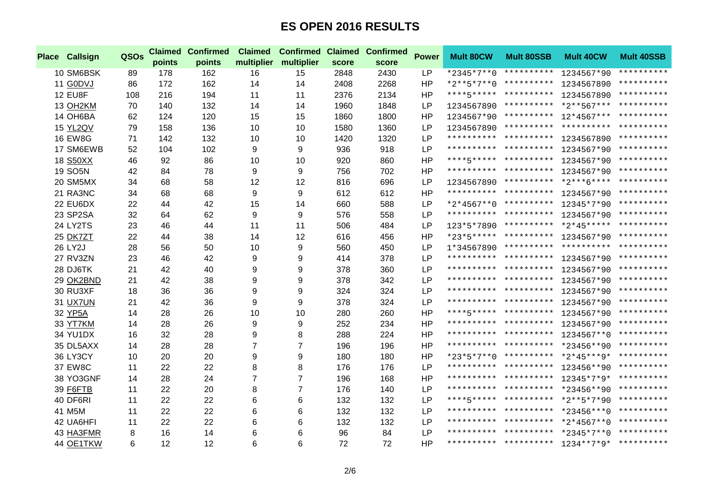| <b>Place Callsign</b> | QSOs | <b>Claimed</b><br>points | <b>Confirmed</b><br>points | <b>Claimed</b> | <b>Confirmed Claimed</b><br>multiplier multiplier | score | <b>Confirmed</b><br>score | <b>Power</b> | <b>Mult 80CW</b> | <b>Mult 80SSB</b>                | <b>Mult 40CW</b>                             | <b>Mult 40SSB</b> |
|-----------------------|------|--------------------------|----------------------------|----------------|---------------------------------------------------|-------|---------------------------|--------------|------------------|----------------------------------|----------------------------------------------|-------------------|
| 10 SM6BSK             | 89   | 178                      | 162                        | 16             | 15                                                | 2848  | 2430                      | <b>LP</b>    |                  |                                  | *2345*7**0 ********** 1234567*90             | **********        |
| 11 G0DVJ              | 86   | 172                      | 162                        | 14             | 14                                                | 2408  | 2268                      | <b>HP</b>    |                  | *2**5*7**0 ********** 1234567890 |                                              | **********        |
| <b>12 EU8F</b>        | 108  | 216                      | 194                        | 11             | 11                                                | 2376  | 2134                      | <b>HP</b>    |                  |                                  | ****5***** ********** 1234567890 **********  |                   |
| 13 OH2KM              | 70   | 140                      | 132                        | 14             | 14                                                | 1960  | 1848                      | <b>LP</b>    | 1234567890       |                                  | ********** *2**567*** **********             |                   |
| 14 OH6BA              | 62   | 124                      | 120                        | 15             | 15                                                | 1860  | 1800                      | <b>HP</b>    |                  |                                  | 1234567*90 ********** 12*4567*** **********  |                   |
| 15 YL2QV              | 79   | 158                      | 136                        | 10             | 10                                                | 1580  | 1360                      | LP           |                  |                                  | 1234567890 ********** ********** *********** |                   |
| <b>16 EW8G</b>        | 71   | 142                      | 132                        | 10             | 10                                                | 1420  | 1320                      | LP           |                  |                                  | ********** ********** 1234567890             | **********        |
| 17 SM6EWB             | 52   | 104                      | 102                        | 9              | 9                                                 | 936   | 918                       | LP           |                  |                                  | ********** ********** 1234567*90             | **********        |
| 18 S50XX              | 46   | 92                       | 86                         | 10             | 10                                                | 920   | 860                       | <b>HP</b>    |                  |                                  | ****5***** ********** 1234567*90             | **********        |
| 19 SO5N               | 42   | 84                       | 78                         | 9              | 9                                                 | 756   | 702                       | <b>HP</b>    |                  |                                  | ********** ********** 1234567*90 **********  |                   |
| 20 SM5MX              | 34   | 68                       | 58                         | 12             | 12                                                | 816   | 696                       | LP           |                  |                                  | 1234567890 ********** *2***6**** *********** |                   |
| 21 RA3NC              | 34   | 68                       | 68                         | 9              | 9                                                 | 612   | 612                       | <b>HP</b>    |                  |                                  | ********** ********** 1234567*90 **********  |                   |
| 22 EU6DX              | 22   | 44                       | 42                         | 15             | 14                                                | 660   | 588                       | LP           |                  |                                  | *2*4567**0 ********** 12345*7*90             | **********        |
| 23 SP2SA              | 32   | 64                       | 62                         | 9              | 9                                                 | 576   | 558                       | LP           |                  |                                  | ********** ********** 1234567*90 **********  |                   |
| 24 LY2TS              | 23   | 46                       | 44                         | 11             | 11                                                | 506   | 484                       | LP           |                  |                                  | 123*5*7890 ********** *2*45***** *********** |                   |
| 25 DK7ZT              | 22   | 44                       | 38                         | 14             | 12                                                | 616   | 456                       | <b>HP</b>    |                  |                                  | *23*5***** ********** 1234567*90 **********  |                   |
| 26 LY2J               | 28   | 56                       | 50                         | 10             | 9                                                 | 560   | 450                       | LP           |                  |                                  | 1*34567890 ********** ********* ***********  |                   |
| 27 RV3ZN              | 23   | 46                       | 42                         | 9              | 9                                                 | 414   | 378                       | LP           |                  |                                  | ********** ********** 1234567*90 **********  |                   |
| 28 DJ6TK              | 21   | 42                       | 40                         | 9              | 9                                                 | 378   | 360                       | LP           |                  |                                  | ********** ********** 1234567*90             | **********        |
| 29 OK2BND             | 21   | 42                       | 38                         | 9              | 9                                                 | 378   | 342                       | LP           |                  |                                  | ********** ********** 1234567*90 **********  |                   |
| 30 RU3XF              | 18   | 36                       | 36                         | 9              | 9                                                 | 324   | 324                       | LP           |                  |                                  | ********** ********** 1234567*90             | **********        |
| 31 UX7UN              | 21   | 42                       | 36                         | 9              | 9                                                 | 378   | 324                       | LP           |                  |                                  | ********** ********** 1234567*90             | **********        |
| 32 YP5A               | 14   | 28                       | 26                         | 10             | 10                                                | 280   | 260                       | <b>HP</b>    |                  |                                  | ****5***** ********** 1234567*90 **********  |                   |
| 33 YT7KM              | 14   | 28                       | 26                         | 9              | 9                                                 | 252   | 234                       | <b>HP</b>    |                  |                                  | ********** ********** 1234567*90 **********  |                   |
| <b>34 YU1DX</b>       | 16   | 32                       | 28                         | 9              | 8                                                 | 288   | 224                       | <b>HP</b>    |                  |                                  | ********** ********** 1234567**0 **********  |                   |
| 35 DL5AXX             | 14   | 28                       | 28                         | 7              | $\overline{7}$                                    | 196   | 196                       | <b>HP</b>    |                  |                                  | ********** ********** *23456**90 **********  |                   |
| 36 LY3CY              | 10   | 20                       | 20                         | 9              | 9                                                 | 180   | 180                       | <b>HP</b>    |                  |                                  | *23*5*7**0 ********** *2*45***9* **********  |                   |
| 37 EW8C               | 11   | 22                       | 22                         | 8              | 8                                                 | 176   | 176                       | LP           |                  |                                  | ********** ********** 123456**90 **********  |                   |
| 38 YO3GNF             | 14   | 28                       | 24                         | 7              | $\overline{7}$                                    | 196   | 168                       | <b>HP</b>    |                  |                                  | ********** ********** 12345*7*9* **********  |                   |
| 39 F6FTB              | 11   | 22                       | 20                         | 8              | $\overline{7}$                                    | 176   | 140                       | LP           |                  |                                  | ********** ********** *23456**90 **********  |                   |
| 40 DF6RI              | 11   | 22                       | 22                         | 6              | 6                                                 | 132   | 132                       | LP           |                  |                                  | ****5***** ********** *2**5*7*90 *********** |                   |
| 41 M5M                | 11   | 22                       | 22                         | 6              | 6                                                 | 132   | 132                       | LP           |                  |                                  | ********** ********** *23456***0 **********  |                   |
| 42 UA6HFI             | 11   | 22                       | 22                         | 6              | 6                                                 | 132   | 132                       | LP           |                  |                                  | ********** ********** *2*4567**0 **********  |                   |
| 43 HA3FMR             | 8    | 16                       | 14                         | 6              | 6                                                 | 96    | 84                        | LP           |                  |                                  | ********** ********** *2345*7**0 **********  |                   |
| 44 OE1TKW             | 6    | 12                       | 12                         | 6              | 6                                                 | 72    | 72                        | HP           |                  |                                  | ********** ********** 1234**7*9* **********  |                   |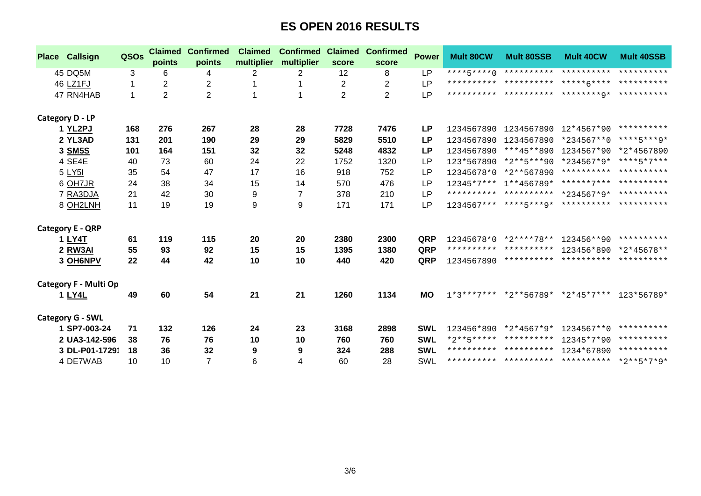| <b>Place Callsign</b>        | QSOs | <b>Claimed</b><br>points | <b>Confirmed</b><br>points | <b>Claimed</b><br>multiplier | <b>Confirmed</b><br>multiplier | <b>Claimed</b><br>score | <b>Confirmed</b><br>score | <b>Power</b> | <b>Mult 80CW</b> | <b>Mult 80SSB</b>                  | <b>Mult 40CW</b>                                  | <b>Mult 40SSB</b>     |
|------------------------------|------|--------------------------|----------------------------|------------------------------|--------------------------------|-------------------------|---------------------------|--------------|------------------|------------------------------------|---------------------------------------------------|-----------------------|
| 45 DQ5M                      | 3    | 6                        | 4                          | $\overline{2}$               | 2                              | 12                      | 8                         | <b>LP</b>    | $***+5***0$      |                                    | ********** ********** **********                  |                       |
| 46 LZ1FJ                     | 1    | 2                        | 2                          |                              |                                | $\overline{c}$          | 2                         | <b>LP</b>    |                  |                                    |                                                   |                       |
| 47 RN4HAB                    | 1    | $\overline{2}$           | $\overline{2}$             |                              | 1                              | $\overline{2}$          | $\overline{2}$            | <b>LP</b>    |                  |                                    |                                                   |                       |
| <b>Category D - LP</b>       |      |                          |                            |                              |                                |                         |                           |              |                  |                                    |                                                   |                       |
| 1 YL2PJ                      | 168  | 276                      | 267                        | 28                           | 28                             | 7728                    | 7476                      | <b>LP</b>    |                  | 1234567890 1234567890              | 12*4567*90                                        | **********            |
| 2 YL3AD                      | 131  | 201                      | 190                        | 29                           | 29                             | 5829                    | 5510                      | LP           | 1234567890       | 1234567890                         | *234567**0                                        | ****5***9*            |
| 3 SM5S                       | 101  | 164                      | 151                        | 32                           | 32                             | 5248                    | 4832                      | <b>LP</b>    | 1234567890       | ***45**890                         | 1234567*90                                        | *2*4567890            |
| 4 SE4E                       | 40   | 73                       | 60                         | 24                           | 22                             | 1752                    | 1320                      | <b>LP</b>    | 123*567890       | *2**5***90                         | *234567*9* ****5*7***                             |                       |
| 5 LY51                       | 35   | 54                       | 47                         | 17                           | 16                             | 918                     | 752                       | <b>LP</b>    | 12345678*0       | *2**567890                         |                                                   | ********** ********** |
| 6 OH7JR                      | 24   | 38                       | 34                         | 15                           | 14                             | 570                     | 476                       | LP           |                  | 12345*7*** 1**456789*              | ******7*** **********                             |                       |
| 7 RA3DJA                     | 21   | 42                       | 30                         | 9                            | $\overline{7}$                 | 378                     | 210                       | LP           |                  |                                    | ********** ********** *234567*9* **********       |                       |
| 8 OH2LNH                     | 11   | 19                       | 19                         | 9                            | 9                              | 171                     | 171                       | LP           |                  |                                    | $1234567******$ ****5***9* ********** *********** |                       |
| <b>Category E - QRP</b>      |      |                          |                            |                              |                                |                         |                           |              |                  |                                    |                                                   |                       |
| 1 LY4T                       | 61   | 119                      | 115                        | 20                           | 20                             | 2380                    | 2300                      | QRP          | 12345678*0       | *2****78**                         | 123456**90                                        | **********            |
| 2 RW3AI                      | 55   | 93                       | 92                         | 15                           | 15                             | 1395                    | 1380                      | QRP          |                  | ********** **********              | 123456*890                                        | $*2*45678**$          |
| 3 OH6NPV                     | 22   | 44                       | 42                         | 10                           | 10                             | 440                     | 420                       | QRP          | 1234567890       |                                    | ********** ********** **********                  |                       |
| <b>Category F - Multi Op</b> |      |                          |                            |                              |                                |                         |                           |              |                  |                                    |                                                   |                       |
| 1 LY4L                       | 49   | 60                       | 54                         | 21                           | 21                             | 1260                    | 1134                      | <b>MO</b>    |                  | $1*3***7***$ *2**56789* *2*45*7*** |                                                   | 123*56789*            |
| <b>Category G - SWL</b>      |      |                          |                            |                              |                                |                         |                           |              |                  |                                    |                                                   |                       |
| 1 SP7-003-24                 | 71   | 132                      | 126                        | 24                           | 23                             | 3168                    | 2898                      | <b>SWL</b>   | 123456*890       | *2*4567*9*                         | 1234567**0                                        | **********            |
| 2 UA3-142-596                | 38   | 76                       | 76                         | 10                           | 10                             | 760                     | 760                       | <b>SWL</b>   |                  | *2**5***** **********              | 12345*7*90                                        | **********            |
| 3 DL-P01-17291               | 18   | 36                       | 32                         | 9                            | 9                              | 324                     | 288                       | <b>SWL</b>   |                  | ********** ********** 1234*67890   |                                                   | **********            |
| 4 DE7WAB                     | 10   | 10                       | $\overline{7}$             | 6                            | 4                              | 60                      | 28                        | SWL          |                  |                                    | ********** ********** ********** *2**5*7*9*       |                       |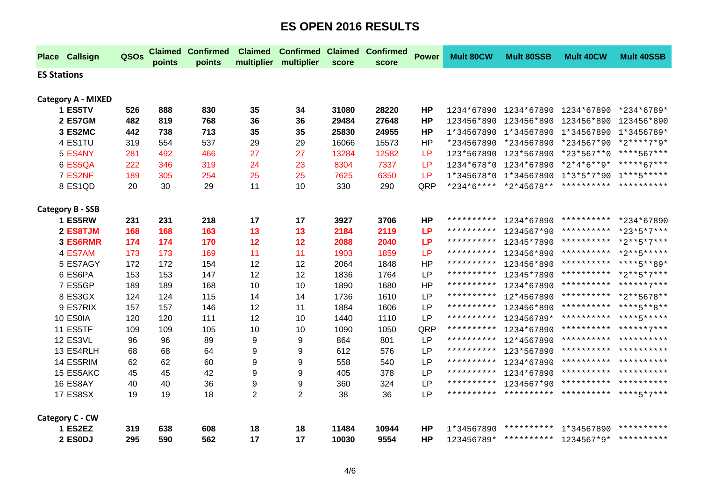|                    | <b>Place Callsign</b>     | QSOs | <b>Claimed</b><br>points | <b>Confirmed</b><br>points | <b>Claimed</b><br>multiplier | <b>Confirmed Claimed</b><br>multiplier | score | <b>Confirmed</b><br>score | <b>Power</b> | <b>Mult 80CW</b>    | <b>Mult 80SSB</b>                | <b>Mult 40CW</b>                               | <b>Mult 40SSB</b>     |
|--------------------|---------------------------|------|--------------------------|----------------------------|------------------------------|----------------------------------------|-------|---------------------------|--------------|---------------------|----------------------------------|------------------------------------------------|-----------------------|
| <b>ES Stations</b> |                           |      |                          |                            |                              |                                        |       |                           |              |                     |                                  |                                                |                       |
|                    |                           |      |                          |                            |                              |                                        |       |                           |              |                     |                                  |                                                |                       |
|                    | <b>Category A - MIXED</b> |      |                          |                            |                              |                                        |       |                           |              |                     |                                  |                                                |                       |
|                    | 1 ES5TV                   | 526  | 888                      | 830                        | 35                           | 34                                     | 31080 | 28220                     | <b>HP</b>    |                     |                                  | 1234*67890 1234*67890 1234*67890               | *234*6789*            |
|                    | 2 ES7GM                   | 482  | 819                      | 768                        | 36                           | 36                                     | 29484 | 27648                     | <b>HP</b>    |                     | 123456*890 123456*890            | 123456*890                                     | 123456*890            |
|                    | 3 ES2MC                   | 442  | 738                      | 713                        | 35                           | 35                                     | 25830 | 24955                     | HP           |                     | 1*34567890 1*34567890 1*34567890 |                                                | 1*3456789*            |
|                    | 4 ES1TU                   | 319  | 554                      | 537                        | 29                           | 29                                     | 16066 | 15573                     | <b>HP</b>    |                     | *234567890 *234567890            | *234567*90                                     | $*2***7*9*$           |
|                    | 5 ES4NY                   | 281  | 492                      | 466                        | 27                           | 27                                     | 13284 | 12582                     | <b>LP</b>    |                     | 123*567890 123*567890            | *23*567**0                                     | ****567***            |
|                    | 6 ES5QA                   | 222  | 346                      | 319                        | 24                           | 23                                     | 8304  | 7337                      | <b>LP</b>    |                     | 1234*678*0 1234*67890 *2*4*6**9* |                                                | *****67***            |
|                    | 7 ES2NF                   | 189  | 305                      | 254                        | 25                           | 25                                     | 7625  | 6350                      | <b>LP</b>    |                     |                                  | 1*345678*0  1*34567890  1*3*5*7*90  1***5***** |                       |
|                    | 8 ES1QD                   | 20   | 30                       | 29                         | 11                           | 10                                     | 330   | 290                       | QRP          |                     |                                  | *234*6**** *2*45678** ********** ***********   |                       |
|                    | <b>Category B - SSB</b>   |      |                          |                            |                              |                                        |       |                           |              |                     |                                  |                                                |                       |
|                    | 1 ES5RW                   | 231  | 231                      | 218                        | 17                           | 17                                     | 3927  | 3706                      | <b>HP</b>    |                     | ********** 1234*67890            |                                                | ********** *234*67890 |
|                    | 2 ES8TJM                  | 168  | 168                      | 163                        | 13                           | 13                                     | 2184  | 2119                      | <b>LP</b>    | * * * * * * * * * * | 1234567*90                       |                                                | ********** *23*5*7*** |
|                    | 3 ES6RMR                  | 174  | 174                      | 170                        | 12                           | 12                                     | 2088  | 2040                      | <b>LP</b>    |                     | ********** 12345*7890            | ********** *2**5*7***                          |                       |
|                    | 4 ES7AM                   | 173  | 173                      | 169                        | 11                           | 11                                     | 1903  | 1859                      | <b>LP</b>    | * * * * * * * * * * | 123456*890                       |                                                | ********** *2**5***** |
|                    | 5 ES7AGY                  | 172  | 172                      | 154                        | 12                           | 12                                     | 2064  | 1848                      | <b>HP</b>    | * * * * * * * * * * | 123456*890                       |                                                | ********** ****5**89* |
|                    | 6 ES6PA                   | 153  | 153                      | 147                        | 12                           | 12                                     | 1836  | 1764                      | <b>LP</b>    | * * * * * * * * * * | 12345*7890                       |                                                | ********** *2**5*7*** |
|                    | 7 ES5GP                   | 189  | 189                      | 168                        | 10                           | 10                                     | 1890  | 1680                      | <b>HP</b>    | * * * * * * * * * * | 1234*67890                       |                                                | ********** ******7*** |
|                    | 8 ES3GX                   | 124  | 124                      | 115                        | 14                           | 14                                     | 1736  | 1610                      | <b>LP</b>    | * * * * * * * * * * | 12*4567890                       |                                                | ********** *2**5678** |
|                    | 9 ES7RIX                  | 157  | 157                      | 146                        | 12                           | 11                                     | 1884  | 1606                      | LP           | * * * * * * * * * * | 123456*890                       |                                                | ********** ****5**8** |
|                    | 10 ES0IA                  | 120  | 120                      | 111                        | 12                           | 10                                     | 1440  | 1110                      | LP           | **********          | 123456789*                       | ********** ****5*****                          |                       |
|                    | 11 ES5TF                  | 109  | 109                      | 105                        | 10                           | 10                                     | 1090  | 1050                      | QRP          | * * * * * * * * * * | 1234*67890                       |                                                | ********** ******7*** |
|                    | 12 ES3VL                  | 96   | 96                       | 89                         | 9                            | 9                                      | 864   | 801                       | <b>LP</b>    | **********          | 12*4567890                       |                                                | ********** ********** |
|                    | 13 ES4RLH                 | 68   | 68                       | 64                         | 9                            | 9                                      | 612   | 576                       | LP           | * * * * * * * * * * | 123*567890                       | ********** **********                          |                       |
|                    | 14 ES5RIM                 | 62   | 62                       | 60                         | 9                            | 9                                      | 558   | 540                       | LP           | * * * * * * * * * * | 1234*67890                       | ********** **********                          |                       |
|                    | 15 ES5AKC                 | 45   | 45                       | 42                         | 9                            | 9                                      | 405   | 378                       | <b>LP</b>    | * * * * * * * * * * | 1234*67890                       | ********** **********                          |                       |
|                    | 16 ES8AY                  | 40   | 40                       | 36                         | 9                            | 9                                      | 360   | 324                       | LP           |                     |                                  | ********** 1234567*90 ********** **********    |                       |
|                    | 17 ES8SX                  | 19   | 19                       | 18                         | $\overline{c}$               | $\overline{2}$                         | 38    | 36                        | LP           |                     |                                  | ********** ********** ********** ****5*7***    |                       |
|                    | Category C - CW           |      |                          |                            |                              |                                        |       |                           |              |                     |                                  |                                                |                       |
|                    | 1 ES2EZ                   | 319  | 638                      | 608                        | 18                           | 18                                     | 11484 | 10944                     | <b>HP</b>    | 1*34567890          | **********                       | 1*34567890                                     | **********            |
|                    | 2 ESODJ                   | 295  | 590                      | 562                        | 17                           | 17                                     | 10030 | 9554                      | <b>HP</b>    |                     |                                  | 123456789* ********** 1234567*9* **********    |                       |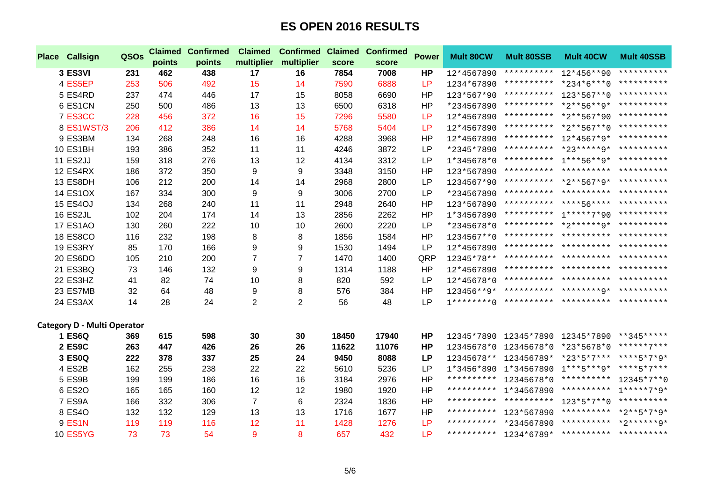| <b>Place Callsign</b>              | QSOs | <b>Claimed</b><br>points | <b>Confirmed</b><br>points | <b>Claimed</b><br>multiplier | <b>Confirmed</b><br>multiplier | score | <b>Claimed Confirmed</b><br>score | <b>Power</b> | <b>Mult 80CW</b> | <b>Mult 80SSB</b>     | <b>Mult 40CW</b>                               | <b>Mult 40SSB</b> |
|------------------------------------|------|--------------------------|----------------------------|------------------------------|--------------------------------|-------|-----------------------------------|--------------|------------------|-----------------------|------------------------------------------------|-------------------|
| 3 ES3VI                            | 231  | 462                      | 438                        | 17                           | 16                             | 7854  | 7008                              | <b>HP</b>    | 12*4567890       |                       | ********** 12*456**90                          | **********        |
| 4 ES5EP                            | 253  | 506                      | 492                        | 15                           | 14                             | 7590  | 6888                              | <b>LP</b>    | 1234*67890       |                       | ********** *234*6***0 **********               |                   |
| 5 ES4RD                            | 237  | 474                      | 446                        | 17                           | 15                             | 8058  | 6690                              | <b>HP</b>    | 123*567*90       |                       | ********** 123*567**0                          | **********        |
| 6 ES1CN                            | 250  | 500                      | 486                        | 13                           | 13                             | 6500  | 6318                              | <b>HP</b>    | *234567890       |                       | ********** *2**56**9* **********               |                   |
| 7 ES3CC                            | 228  | 456                      | 372                        | 16                           | 15                             | 7296  | 5580                              | <b>LP</b>    | 12*4567890       |                       | ********** *2**567*90 **********               |                   |
| 8 ES1WST/3                         | 206  | 412                      | 386                        | 14                           | 14                             | 5768  | 5404                              | LP           | 12*4567890       |                       | ********** *2**567**0 **********               |                   |
| 9 ES3BM                            | 134  | 268                      | 248                        | 16                           | 16                             | 4288  | 3968                              | <b>HP</b>    | 12*4567890       |                       | ********** 12*4567*9* **********               |                   |
| <b>10 ES1BH</b>                    | 193  | 386                      | 352                        | 11                           | 11                             | 4246  | 3872                              | <b>LP</b>    | *2345*7890       |                       | ********** *23*****9* **********               |                   |
| 11 ES2JJ                           | 159  | 318                      | 276                        | 13                           | 12                             | 4134  | 3312                              | <b>LP</b>    | $1*345678*0$     |                       | ********** 1***56**9* **********               |                   |
| <b>12 ES4RX</b>                    | 186  | 372                      | 350                        | 9                            | 9                              | 3348  | 3150                              | <b>HP</b>    | 123*567890       |                       | ********** ********** **********               |                   |
| 13 ES8DH                           | 106  | 212                      | 200                        | 14                           | 14                             | 2968  | 2800                              | LP           | 1234567*90       |                       | ********** *2**567*9* **********               |                   |
| <b>14 ES1OX</b>                    | 167  | 334                      | 300                        | 9                            | 9                              | 3006  | 2700                              | <b>LP</b>    | *234567890       |                       | ********** ********** **********               |                   |
| <b>15 ES4OJ</b>                    | 134  | 268                      | 240                        | 11                           | 11                             | 2948  | 2640                              | <b>HP</b>    | 123*567890       |                       | *********** ****56**** **********              |                   |
| 16 ES2JL                           | 102  | 204                      | 174                        | 14                           | 13                             | 2856  | 2262                              | <b>HP</b>    | 1*34567890       |                       | ********** 1*****7*90 **********               |                   |
| <b>17 ES1AO</b>                    | 130  | 260                      | 222                        | 10                           | 10                             | 2600  | 2220                              | <b>LP</b>    | *2345678*0       |                       | ********** *2******9* **********               |                   |
| <b>18 ES8CO</b>                    | 116  | 232                      | 198                        | 8                            | 8                              | 1856  | 1584                              | <b>HP</b>    | 1234567**0       |                       | *********** ********** **********              |                   |
| 19 ES3RY                           | 85   | 170                      | 166                        | 9                            | 9                              | 1530  | 1494                              | <b>LP</b>    | 12*4567890       |                       | ********** ********** **********               |                   |
| 20 ES6DO                           | 105  | 210                      | 200                        | $\overline{7}$               | $\overline{7}$                 | 1470  | 1400                              | QRP          | 12345*78**       |                       | ********** ********** **********               |                   |
| 21 ES3BQ                           | 73   | 146                      | 132                        | 9                            | 9                              | 1314  | 1188                              | <b>HP</b>    | 12*4567890       |                       | ********** ********** **********               |                   |
| 22 ES3HZ                           | 41   | 82                       | 74                         | 10                           | 8                              | 820   | 592                               | <b>LP</b>    | 12*45678*0       |                       | ********** ********** **********               |                   |
| 23 ES7MB                           | 32   | 64                       | 48                         | 9                            | 8                              | 576   | 384                               | HP           |                  |                       | 123456**9* ********** ********9* **********    |                   |
| 24 ES3AX                           | 14   | 28                       | 24                         | $\overline{2}$               | $\overline{2}$                 | 56    | 48                                | <b>LP</b>    |                  |                       |                                                |                   |
| <b>Category D - Multi Operator</b> |      |                          |                            |                              |                                |       |                                   |              |                  |                       |                                                |                   |
| 1 ES6Q                             | 369  | 615                      | 598                        | 30                           | 30                             | 18450 | 17940                             | <b>HP</b>    |                  |                       | 12345*7890 12345*7890 12345*7890 **345*****    |                   |
| 2 ES9C                             | 263  | 447                      | 426                        | 26                           | 26                             | 11622 | 11076                             | <b>HP</b>    | 12345678*0       | 12345678*0 *23*5678*0 |                                                | ******7***        |
| 3 ES0Q                             | 222  | 378                      | 337                        | 25                           | 24                             | 9450  | 8088                              | <b>LP</b>    |                  |                       | 12345678** 123456789* *23*5*7*** ****5*7*9*    |                   |
| 4 ES2B                             | 162  | 255                      | 238                        | 22                           | 22                             | 5610  | 5236                              | <b>LP</b>    |                  |                       | 1*3456*890  1*34567890  1***5***9*  ****5*7*** |                   |
| 5 ES9B                             | 199  | 199                      | 186                        | 16                           | 16                             | 3184  | 2976                              | HP           | **********       | 12345678*0 ********** |                                                | 12345*7**0        |
| 6 ES2O                             | 165  | 165                      | 160                        | 12                           | 12                             | 1980  | 1920                              | <b>HP</b>    |                  |                       | ********** 1*34567890 ********** 1*****7*9*    |                   |
| 7 ES9A                             | 166  | 332                      | 306                        | $\overline{7}$               | 6                              | 2324  | 1836                              | HP           |                  |                       | ********** ********** 123*5*7**0 **********    |                   |
| 8 ES4O                             | 132  | 132                      | 129                        | 13                           | 13                             | 1716  | 1677                              | HP           | **********       |                       | 123*567890 ********** *2**5*7*9*               |                   |
| 9 ES1N                             | 119  | 119                      | 116                        | 12                           | 11                             | 1428  | 1276                              | LP           |                  |                       | ********** *234567890 ********** *2******9*    |                   |
| <b>10 ES5YG</b>                    | 73   | 73                       | 54                         | 9                            | 8                              | 657   | 432                               | <b>LP</b>    |                  |                       | ********** 1234*6789* ********** ***********   |                   |